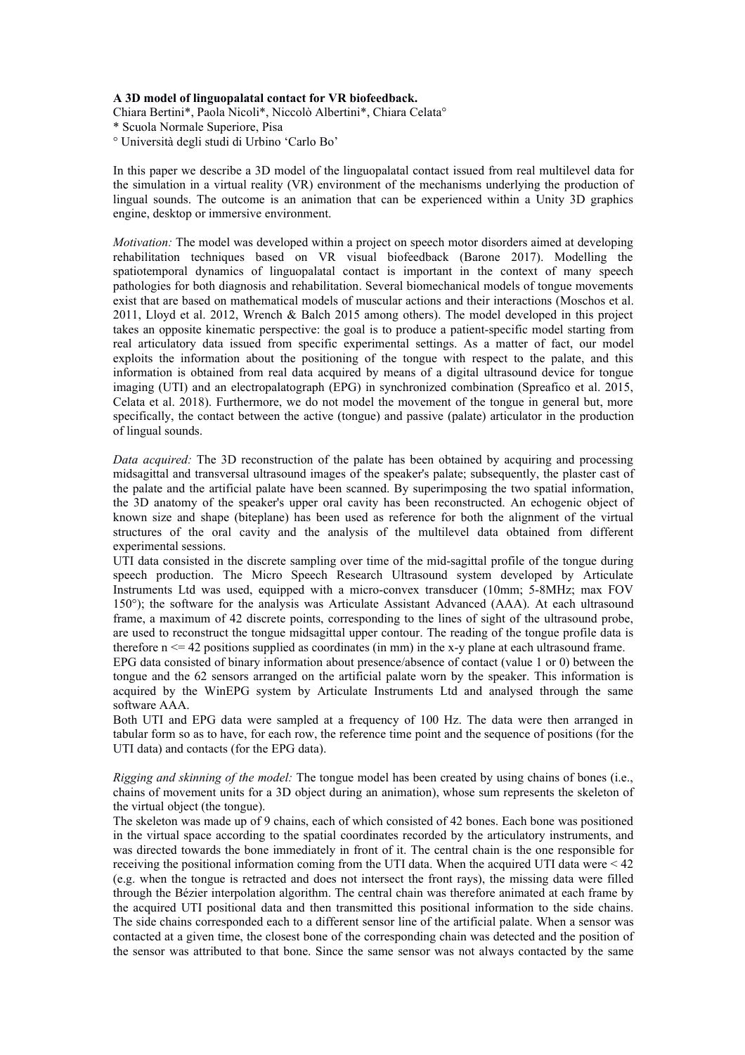## **A 3D model of linguopalatal contact for VR biofeedback.**

Chiara Bertini\*, Paola Nicoli\*, Niccolò Albertini\*, Chiara Celata° \* Scuola Normale Superiore, Pisa

° Università degli studi di Urbino 'Carlo Bo'

In this paper we describe a 3D model of the linguopalatal contact issued from real multilevel data for the simulation in a virtual reality (VR) environment of the mechanisms underlying the production of lingual sounds. The outcome is an animation that can be experienced within a Unity 3D graphics engine, desktop or immersive environment.

*Motivation:* The model was developed within a project on speech motor disorders aimed at developing rehabilitation techniques based on VR visual biofeedback (Barone 2017). Modelling the spatiotemporal dynamics of linguopalatal contact is important in the context of many speech pathologies for both diagnosis and rehabilitation. Several biomechanical models of tongue movements exist that are based on mathematical models of muscular actions and their interactions (Moschos et al. 2011, Lloyd et al. 2012, Wrench & Balch 2015 among others). The model developed in this project takes an opposite kinematic perspective: the goal is to produce a patient-specific model starting from real articulatory data issued from specific experimental settings. As a matter of fact, our model exploits the information about the positioning of the tongue with respect to the palate, and this information is obtained from real data acquired by means of a digital ultrasound device for tongue imaging (UTI) and an electropalatograph (EPG) in synchronized combination (Spreafico et al. 2015, Celata et al. 2018). Furthermore, we do not model the movement of the tongue in general but, more specifically, the contact between the active (tongue) and passive (palate) articulator in the production of lingual sounds.

*Data acquired:* The 3D reconstruction of the palate has been obtained by acquiring and processing midsagittal and transversal ultrasound images of the speaker's palate; subsequently, the plaster cast of the palate and the artificial palate have been scanned. By superimposing the two spatial information, the 3D anatomy of the speaker's upper oral cavity has been reconstructed. An echogenic object of known size and shape (biteplane) has been used as reference for both the alignment of the virtual structures of the oral cavity and the analysis of the multilevel data obtained from different experimental sessions.

UTI data consisted in the discrete sampling over time of the mid-sagittal profile of the tongue during speech production. The Micro Speech Research Ultrasound system developed by Articulate Instruments Ltd was used, equipped with a micro-convex transducer (10mm; 5-8MHz; max FOV 150°); the software for the analysis was Articulate Assistant Advanced (AAA). At each ultrasound frame, a maximum of 42 discrete points, corresponding to the lines of sight of the ultrasound probe, are used to reconstruct the tongue midsagittal upper contour. The reading of the tongue profile data is therefore  $n \le 42$  positions supplied as coordinates (in mm) in the x-y plane at each ultrasound frame.

EPG data consisted of binary information about presence/absence of contact (value 1 or 0) between the tongue and the 62 sensors arranged on the artificial palate worn by the speaker. This information is acquired by the WinEPG system by Articulate Instruments Ltd and analysed through the same software AAA.

Both UTI and EPG data were sampled at a frequency of 100 Hz. The data were then arranged in tabular form so as to have, for each row, the reference time point and the sequence of positions (for the UTI data) and contacts (for the EPG data).

*Rigging and skinning of the model:* The tongue model has been created by using chains of bones (i.e., chains of movement units for a 3D object during an animation), whose sum represents the skeleton of the virtual object (the tongue).<br>The skeleton was made up of 9 chains, each of which consisted of 42 bones. Each bone was positioned

in the virtual space according to the spatial coordinates recorded by the articulatory instruments, and was directed towards the bone immediately in front of it. The central chain is the one responsible for receiving the positional information coming from the UTI data. When the acquired UTI data were < 42 (e.g. when the tongue isretracted and doesnot intersect the front rays), the missing data were filled through the Bézier interpolation algorithm. The central chain was therefore animated at each frame by the acquired UTI positional data and then transmitted this positional information to the side chains. The side chains corresponded each to a different sensor line of the artificial palate. When a sensor was contacted at a given time, the closest bone of the corresponding chain was detected and the position of the sensor was attributed to that bone. Since the same sensor was not always contacted by the same